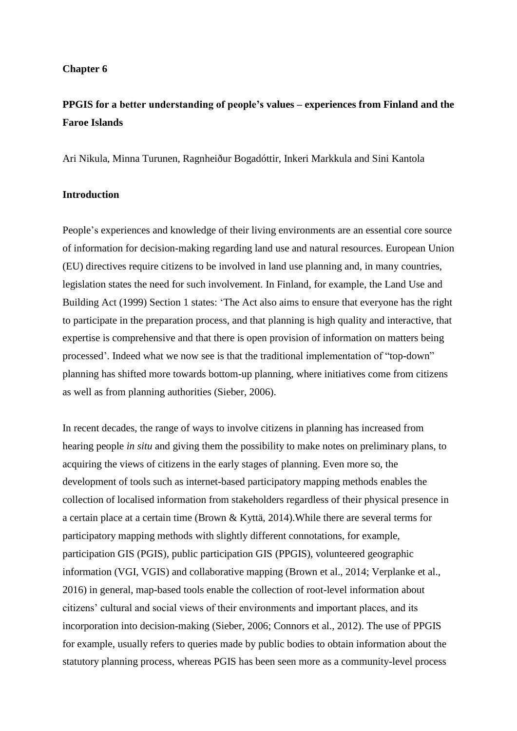### **Chapter 6**

# **PPGIS for a better understanding of people's values – experiences from Finland and the Faroe Islands**

Ari Nikula, Minna Turunen, Ragnheiður Bogadóttir, Inkeri Markkula and Sini Kantola

### **Introduction**

People's experiences and knowledge of their living environments are an essential core source of information for decision-making regarding land use and natural resources. European Union (EU) directives require citizens to be involved in land use planning and, in many countries, legislation states the need for such involvement. In Finland, for example, the Land Use and Building Act (1999) Section 1 states: 'The Act also aims to ensure that everyone has the right to participate in the preparation process, and that planning is high quality and interactive, that expertise is comprehensive and that there is open provision of information on matters being processed'. Indeed what we now see is that the traditional implementation of "top-down" planning has shifted more towards bottom-up planning, where initiatives come from citizens as well as from planning authorities (Sieber, 2006).

In recent decades, the range of ways to involve citizens in planning has increased from hearing people *in situ* and giving them the possibility to make notes on preliminary plans, to acquiring the views of citizens in the early stages of planning. Even more so, the development of tools such as internet-based participatory mapping methods enables the collection of localised information from stakeholders regardless of their physical presence in a certain place at a certain time (Brown & Kyttä, 2014).While there are several terms for participatory mapping methods with slightly different connotations, for example, participation GIS (PGIS), public participation GIS (PPGIS), volunteered geographic information (VGI, VGIS) and collaborative mapping (Brown et al., 2014; Verplanke et al., 2016) in general, map-based tools enable the collection of root-level information about citizens' cultural and social views of their environments and important places, and its incorporation into decision-making (Sieber, 2006; Connors et al., 2012). The use of PPGIS for example, usually refers to queries made by public bodies to obtain information about the statutory planning process, whereas PGIS has been seen more as a community-level process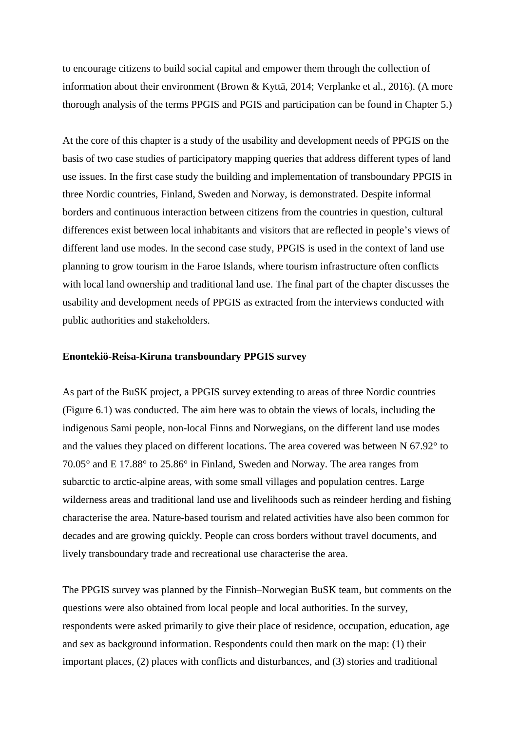to encourage citizens to build social capital and empower them through the collection of information about their environment (Brown & Kyttä, 2014; Verplanke et al., 2016). (A more thorough analysis of the terms PPGIS and PGIS and participation can be found in Chapter 5.)

At the core of this chapter is a study of the usability and development needs of PPGIS on the basis of two case studies of participatory mapping queries that address different types of land use issues. In the first case study the building and implementation of transboundary PPGIS in three Nordic countries, Finland, Sweden and Norway, is demonstrated. Despite informal borders and continuous interaction between citizens from the countries in question, cultural differences exist between local inhabitants and visitors that are reflected in people's views of different land use modes. In the second case study, PPGIS is used in the context of land use planning to grow tourism in the Faroe Islands, where tourism infrastructure often conflicts with local land ownership and traditional land use. The final part of the chapter discusses the usability and development needs of PPGIS as extracted from the interviews conducted with public authorities and stakeholders.

## **Enontekiö-Reisa-Kiruna transboundary PPGIS survey**

As part of the BuSK project, a PPGIS survey extending to areas of three Nordic countries (Figure 6.1) was conducted. The aim here was to obtain the views of locals, including the indigenous Sami people, non-local Finns and Norwegians, on the different land use modes and the values they placed on different locations. The area covered was between N 67.92° to 70.05° and E 17.88° to 25.86° in Finland, Sweden and Norway. The area ranges from subarctic to arctic-alpine areas, with some small villages and population centres. Large wilderness areas and traditional land use and livelihoods such as reindeer herding and fishing characterise the area. Nature-based tourism and related activities have also been common for decades and are growing quickly. People can cross borders without travel documents, and lively transboundary trade and recreational use characterise the area.

The PPGIS survey was planned by the Finnish–Norwegian BuSK team, but comments on the questions were also obtained from local people and local authorities. In the survey, respondents were asked primarily to give their place of residence, occupation, education, age and sex as background information. Respondents could then mark on the map: (1) their important places, (2) places with conflicts and disturbances, and (3) stories and traditional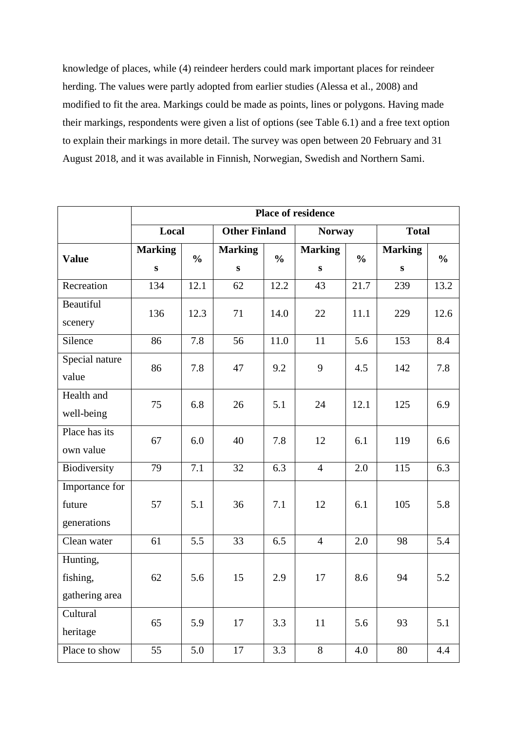knowledge of places, while (4) reindeer herders could mark important places for reindeer herding. The values were partly adopted from earlier studies (Alessa et al., 2008) and modified to fit the area. Markings could be made as points, lines or polygons. Having made their markings, respondents were given a list of options (see Table 6.1) and a free text option to explain their markings in more detail. The survey was open between 20 February and 31 August 2018, and it was available in Finnish, Norwegian, Swedish and Northern Sami.

|                                         | <b>Place of residence</b> |               |                      |               |                |               |                |               |  |  |  |
|-----------------------------------------|---------------------------|---------------|----------------------|---------------|----------------|---------------|----------------|---------------|--|--|--|
|                                         | Local                     |               | <b>Other Finland</b> |               | <b>Norway</b>  |               | <b>Total</b>   |               |  |  |  |
| <b>Value</b>                            | <b>Marking</b>            | $\frac{0}{0}$ | <b>Marking</b>       | $\frac{0}{0}$ | <b>Marking</b> | $\frac{0}{0}$ | <b>Marking</b> | $\frac{0}{0}$ |  |  |  |
|                                         | ${\bf S}$                 |               | ${\bf S}$            |               | ${\bf S}$      |               | S              |               |  |  |  |
| Recreation                              | 134                       | 12.1          | 62                   | 12.2          | 43             | 21.7          | 239            | 13.2          |  |  |  |
| Beautiful<br>scenery                    | 136                       | 12.3          | 71                   | 14.0          | 22             | 11.1          | 229            | 12.6          |  |  |  |
| Silence                                 | 86                        | 7.8           | 56                   | 11.0          | 11             | 5.6           | 153            | 8.4           |  |  |  |
| Special nature<br>value                 | 86                        | 7.8           | 47                   | 9.2           | 9              | 4.5           | 142            | 7.8           |  |  |  |
| Health and<br>well-being                | 75                        | 6.8           | 26                   | 5.1           | 24             | 12.1          | 125            | 6.9           |  |  |  |
| Place has its<br>own value              | 67                        | 6.0           | 40                   | 7.8           | 12             | 6.1           | 119            | 6.6           |  |  |  |
| Biodiversity                            | 79                        | 7.1           | 32                   | 6.3           | $\overline{4}$ | 2.0           | 115            | 6.3           |  |  |  |
| Importance for<br>future<br>generations | 57                        | 5.1           | 36                   | 7.1           | 12             | 6.1           | 105            | 5.8           |  |  |  |
| Clean water                             | 61                        | 5.5           | 33                   | 6.5           | $\overline{4}$ | 2.0           | 98             | 5.4           |  |  |  |
| Hunting,<br>fishing,<br>gathering area  | 62                        | 5.6           | 15                   | 2.9           | 17             | 8.6           | 94             | 5.2           |  |  |  |
| Cultural<br>heritage                    | 65                        | 5.9           | 17                   | 3.3           | 11             | 5.6           | 93             | 5.1           |  |  |  |
| Place to show                           | 55                        | 5.0           | 17                   | 3.3           | 8              | 4.0           | 80             | 4.4           |  |  |  |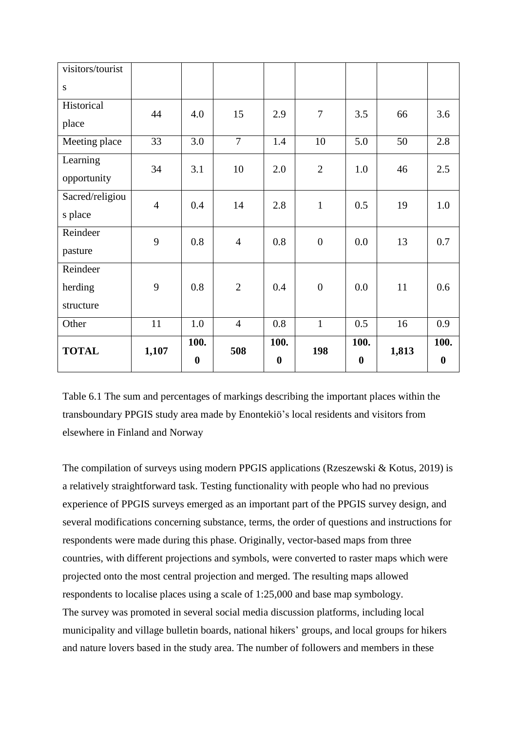| visitors/tourist |                |                  |                |                  |                |                  |       |                  |
|------------------|----------------|------------------|----------------|------------------|----------------|------------------|-------|------------------|
| S                |                |                  |                |                  |                |                  |       |                  |
| Historical       | 44             | 4.0              | 15             | 2.9              | $\overline{7}$ | 3.5              | 66    | 3.6              |
| place            |                |                  |                |                  |                |                  |       |                  |
| Meeting place    | 33             | 3.0              | $\overline{7}$ | 1.4              | 10             | 5.0              | 50    | 2.8              |
| Learning         | 34             | 3.1              | 10             | 2.0              | $\overline{2}$ | 1.0              | 46    | 2.5              |
| opportunity      |                |                  |                |                  |                |                  |       |                  |
| Sacred/religiou  | $\overline{4}$ | 0.4              | 14             | 2.8              | $\mathbf{1}$   | 0.5              | 19    | 1.0              |
| s place          |                |                  |                |                  |                |                  |       |                  |
| Reindeer         | 9              | 0.8              | $\overline{4}$ | 0.8              | $\overline{0}$ | 0.0              | 13    | 0.7              |
| pasture          |                |                  |                |                  |                |                  |       |                  |
| Reindeer         |                |                  |                |                  |                |                  |       |                  |
| herding          | 9              | 0.8              | $\overline{2}$ | 0.4              | $\overline{0}$ | 0.0              | 11    | 0.6              |
| structure        |                |                  |                |                  |                |                  |       |                  |
| Other            | 11             | 1.0              | $\overline{4}$ | 0.8              | $\mathbf{1}$   | 0.5              | 16    | 0.9              |
| <b>TOTAL</b>     | 1,107          | 100.             | 508            | 100.             | 198            | 100.             | 1,813 | 100.             |
|                  |                | $\boldsymbol{0}$ |                | $\boldsymbol{0}$ |                | $\boldsymbol{0}$ |       | $\boldsymbol{0}$ |

Table 6.1 The sum and percentages of markings describing the important places within the transboundary PPGIS study area made by Enontekiö's local residents and visitors from elsewhere in Finland and Norway

The compilation of surveys using modern PPGIS applications (Rzeszewski & Kotus, 2019) is a relatively straightforward task. Testing functionality with people who had no previous experience of PPGIS surveys emerged as an important part of the PPGIS survey design, and several modifications concerning substance, terms, the order of questions and instructions for respondents were made during this phase. Originally, vector-based maps from three countries, with different projections and symbols, were converted to raster maps which were projected onto the most central projection and merged. The resulting maps allowed respondents to localise places using a scale of 1:25,000 and base map symbology. The survey was promoted in several social media discussion platforms, including local municipality and village bulletin boards, national hikers' groups, and local groups for hikers and nature lovers based in the study area. The number of followers and members in these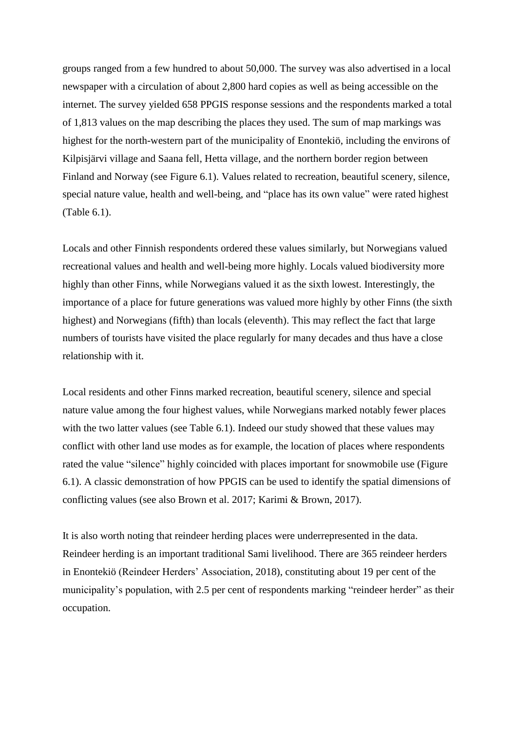groups ranged from a few hundred to about 50,000. The survey was also advertised in a local newspaper with a circulation of about 2,800 hard copies as well as being accessible on the internet. The survey yielded 658 PPGIS response sessions and the respondents marked a total of 1,813 values on the map describing the places they used. The sum of map markings was highest for the north-western part of the municipality of Enontekiö, including the environs of Kilpisjärvi village and Saana fell, Hetta village, and the northern border region between Finland and Norway (see Figure 6.1). Values related to recreation, beautiful scenery, silence, special nature value, health and well-being, and "place has its own value" were rated highest (Table 6.1).

Locals and other Finnish respondents ordered these values similarly, but Norwegians valued recreational values and health and well-being more highly. Locals valued biodiversity more highly than other Finns, while Norwegians valued it as the sixth lowest. Interestingly, the importance of a place for future generations was valued more highly by other Finns (the sixth highest) and Norwegians (fifth) than locals (eleventh). This may reflect the fact that large numbers of tourists have visited the place regularly for many decades and thus have a close relationship with it.

Local residents and other Finns marked recreation, beautiful scenery, silence and special nature value among the four highest values, while Norwegians marked notably fewer places with the two latter values (see Table 6.1). Indeed our study showed that these values may conflict with other land use modes as for example, the location of places where respondents rated the value "silence" highly coincided with places important for snowmobile use (Figure 6.1). A classic demonstration of how PPGIS can be used to identify the spatial dimensions of conflicting values (see also Brown et al. 2017; Karimi & Brown, 2017).

It is also worth noting that reindeer herding places were underrepresented in the data. Reindeer herding is an important traditional Sami livelihood. There are 365 reindeer herders in Enontekiö (Reindeer Herders' Association, 2018), constituting about 19 per cent of the municipality's population, with 2.5 per cent of respondents marking "reindeer herder" as their occupation.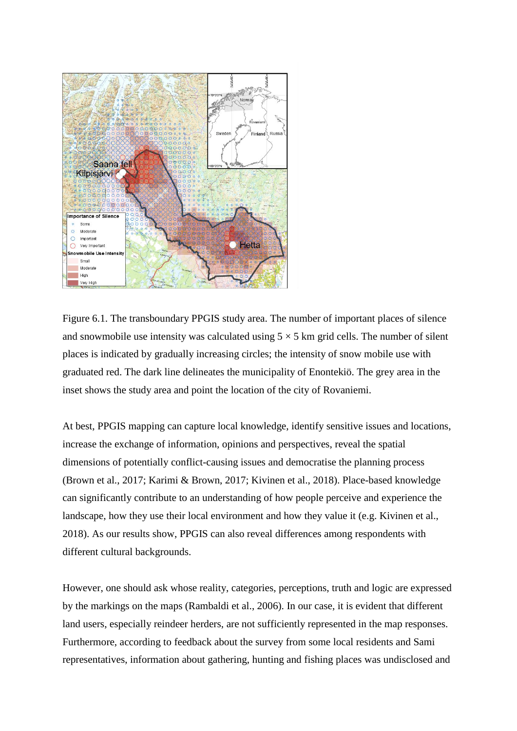

Figure 6.1. The transboundary PPGIS study area. The number of important places of silence and snowmobile use intensity was calculated using  $5 \times 5$  km grid cells. The number of silent places is indicated by gradually increasing circles; the intensity of snow mobile use with graduated red. The dark line delineates the municipality of Enontekiö. The grey area in the inset shows the study area and point the location of the city of Rovaniemi.

At best, PPGIS mapping can capture local knowledge, identify sensitive issues and locations, increase the exchange of information, opinions and perspectives, reveal the spatial dimensions of potentially conflict-causing issues and democratise the planning process (Brown et al., 2017; Karimi & Brown, 2017; Kivinen et al., 2018). Place-based knowledge can significantly contribute to an understanding of how people perceive and experience the landscape, how they use their local environment and how they value it (e.g. Kivinen et al., 2018). As our results show, PPGIS can also reveal differences among respondents with different cultural backgrounds.

However, one should ask whose reality, categories, perceptions, truth and logic are expressed by the markings on the maps (Rambaldi et al., 2006). In our case, it is evident that different land users, especially reindeer herders, are not sufficiently represented in the map responses. Furthermore, according to feedback about the survey from some local residents and Sami representatives, information about gathering, hunting and fishing places was undisclosed and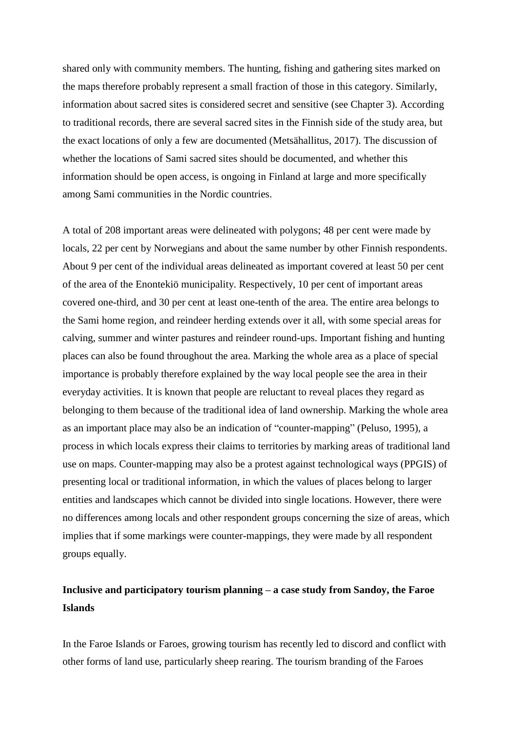shared only with community members. The hunting, fishing and gathering sites marked on the maps therefore probably represent a small fraction of those in this category. Similarly, information about sacred sites is considered secret and sensitive (see Chapter 3). According to traditional records, there are several sacred sites in the Finnish side of the study area, but the exact locations of only a few are documented (Metsähallitus, 2017). The discussion of whether the locations of Sami sacred sites should be documented, and whether this information should be open access, is ongoing in Finland at large and more specifically among Sami communities in the Nordic countries.

A total of 208 important areas were delineated with polygons; 48 per cent were made by locals, 22 per cent by Norwegians and about the same number by other Finnish respondents. About 9 per cent of the individual areas delineated as important covered at least 50 per cent of the area of the Enontekiö municipality. Respectively, 10 per cent of important areas covered one-third, and 30 per cent at least one-tenth of the area. The entire area belongs to the Sami home region, and reindeer herding extends over it all, with some special areas for calving, summer and winter pastures and reindeer round-ups. Important fishing and hunting places can also be found throughout the area. Marking the whole area as a place of special importance is probably therefore explained by the way local people see the area in their everyday activities. It is known that people are reluctant to reveal places they regard as belonging to them because of the traditional idea of land ownership. Marking the whole area as an important place may also be an indication of "counter-mapping" (Peluso, 1995), a process in which locals express their claims to territories by marking areas of traditional land use on maps. Counter-mapping may also be a protest against technological ways (PPGIS) of presenting local or traditional information, in which the values of places belong to larger entities and landscapes which cannot be divided into single locations. However, there were no differences among locals and other respondent groups concerning the size of areas, which implies that if some markings were counter-mappings, they were made by all respondent groups equally.

## **Inclusive and participatory tourism planning – a case study from Sandoy, the Faroe Islands**

In the Faroe Islands or Faroes, growing tourism has recently led to discord and conflict with other forms of land use, particularly sheep rearing. The tourism branding of the Faroes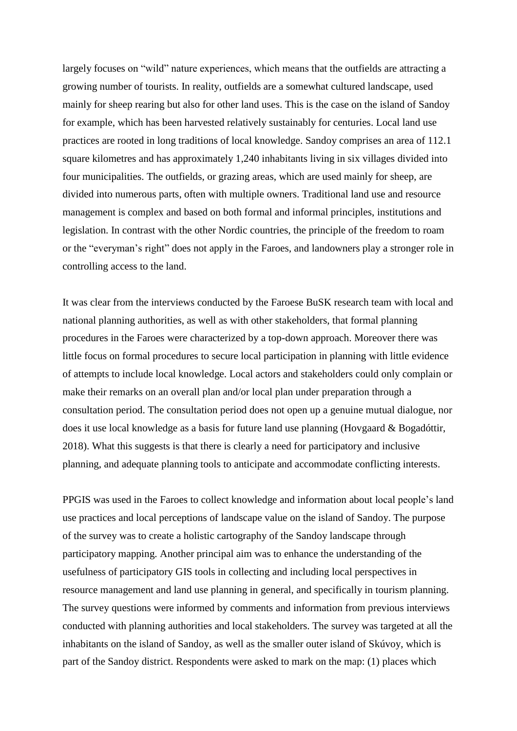largely focuses on "wild" nature experiences, which means that the outfields are attracting a growing number of tourists. In reality, outfields are a somewhat cultured landscape, used mainly for sheep rearing but also for other land uses. This is the case on the island of Sandoy for example, which has been harvested relatively sustainably for centuries. Local land use practices are rooted in long traditions of local knowledge. Sandoy comprises an area of 112.1 square kilometres and has approximately 1,240 inhabitants living in six villages divided into four municipalities. The outfields, or grazing areas, which are used mainly for sheep, are divided into numerous parts, often with multiple owners. Traditional land use and resource management is complex and based on both formal and informal principles, institutions and legislation. In contrast with the other Nordic countries, the principle of the freedom to roam or the "everyman's right" does not apply in the Faroes, and landowners play a stronger role in controlling access to the land.

It was clear from the interviews conducted by the Faroese BuSK research team with local and national planning authorities, as well as with other stakeholders, that formal planning procedures in the Faroes were characterized by a top-down approach. Moreover there was little focus on formal procedures to secure local participation in planning with little evidence of attempts to include local knowledge. Local actors and stakeholders could only complain or make their remarks on an overall plan and/or local plan under preparation through a consultation period. The consultation period does not open up a genuine mutual dialogue, nor does it use local knowledge as a basis for future land use planning (Hovgaard & Bogadóttir, 2018). What this suggests is that there is clearly a need for participatory and inclusive planning, and adequate planning tools to anticipate and accommodate conflicting interests.

PPGIS was used in the Faroes to collect knowledge and information about local people's land use practices and local perceptions of landscape value on the island of Sandoy. The purpose of the survey was to create a holistic cartography of the Sandoy landscape through participatory mapping. Another principal aim was to enhance the understanding of the usefulness of participatory GIS tools in collecting and including local perspectives in resource management and land use planning in general, and specifically in tourism planning. The survey questions were informed by comments and information from previous interviews conducted with planning authorities and local stakeholders. The survey was targeted at all the inhabitants on the island of Sandoy, as well as the smaller outer island of Skúvoy, which is part of the Sandoy district. Respondents were asked to mark on the map: (1) places which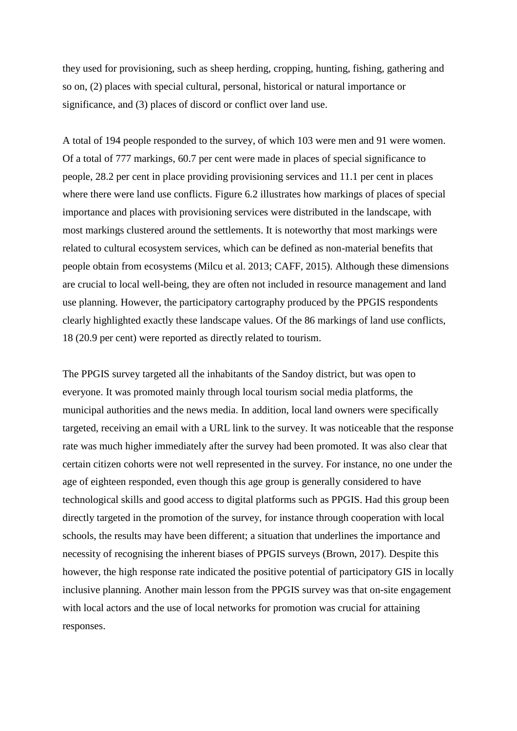they used for provisioning, such as sheep herding, cropping, hunting, fishing, gathering and so on, (2) places with special cultural, personal, historical or natural importance or significance, and (3) places of discord or conflict over land use.

A total of 194 people responded to the survey, of which 103 were men and 91 were women. Of a total of 777 markings, 60.7 per cent were made in places of special significance to people, 28.2 per cent in place providing provisioning services and 11.1 per cent in places where there were land use conflicts. Figure 6.2 illustrates how markings of places of special importance and places with provisioning services were distributed in the landscape, with most markings clustered around the settlements. It is noteworthy that most markings were related to cultural ecosystem services, which can be defined as non-material benefits that people obtain from ecosystems (Milcu et al. 2013; CAFF, 2015). Although these dimensions are crucial to local well-being, they are often not included in resource management and land use planning. However, the participatory cartography produced by the PPGIS respondents clearly highlighted exactly these landscape values. Of the 86 markings of land use conflicts, 18 (20.9 per cent) were reported as directly related to tourism.

The PPGIS survey targeted all the inhabitants of the Sandoy district, but was open to everyone. It was promoted mainly through local tourism social media platforms, the municipal authorities and the news media. In addition, local land owners were specifically targeted, receiving an email with a URL link to the survey. It was noticeable that the response rate was much higher immediately after the survey had been promoted. It was also clear that certain citizen cohorts were not well represented in the survey. For instance, no one under the age of eighteen responded, even though this age group is generally considered to have technological skills and good access to digital platforms such as PPGIS. Had this group been directly targeted in the promotion of the survey, for instance through cooperation with local schools, the results may have been different; a situation that underlines the importance and necessity of recognising the inherent biases of PPGIS surveys (Brown, 2017). Despite this however, the high response rate indicated the positive potential of participatory GIS in locally inclusive planning. Another main lesson from the PPGIS survey was that on-site engagement with local actors and the use of local networks for promotion was crucial for attaining responses.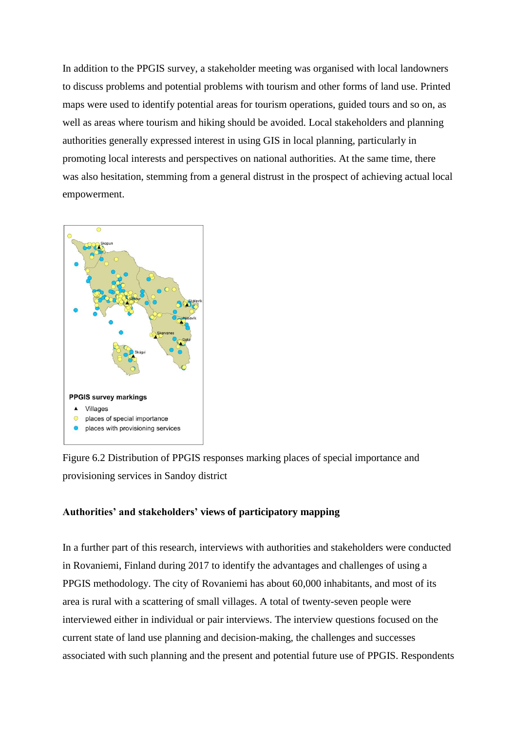In addition to the PPGIS survey, a stakeholder meeting was organised with local landowners to discuss problems and potential problems with tourism and other forms of land use. Printed maps were used to identify potential areas for tourism operations, guided tours and so on, as well as areas where tourism and hiking should be avoided. Local stakeholders and planning authorities generally expressed interest in using GIS in local planning, particularly in promoting local interests and perspectives on national authorities. At the same time, there was also hesitation, stemming from a general distrust in the prospect of achieving actual local empowerment.



Figure 6.2 Distribution of PPGIS responses marking places of special importance and provisioning services in Sandoy district

## **Authorities' and stakeholders' views of participatory mapping**

In a further part of this research, interviews with authorities and stakeholders were conducted in Rovaniemi, Finland during 2017 to identify the advantages and challenges of using a PPGIS methodology. The city of Rovaniemi has about 60,000 inhabitants, and most of its area is rural with a scattering of small villages. A total of twenty-seven people were interviewed either in individual or pair interviews. The interview questions focused on the current state of land use planning and decision-making, the challenges and successes associated with such planning and the present and potential future use of PPGIS. Respondents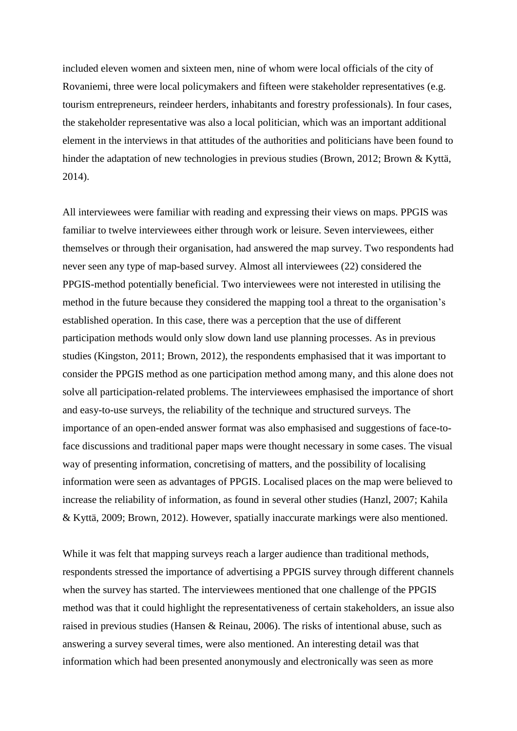included eleven women and sixteen men, nine of whom were local officials of the city of Rovaniemi, three were local policymakers and fifteen were stakeholder representatives (e.g. tourism entrepreneurs, reindeer herders, inhabitants and forestry professionals). In four cases, the stakeholder representative was also a local politician, which was an important additional element in the interviews in that attitudes of the authorities and politicians have been found to hinder the adaptation of new technologies in previous studies (Brown, 2012; Brown & Kyttä, 2014).

All interviewees were familiar with reading and expressing their views on maps. PPGIS was familiar to twelve interviewees either through work or leisure. Seven interviewees, either themselves or through their organisation, had answered the map survey. Two respondents had never seen any type of map-based survey. Almost all interviewees (22) considered the PPGIS-method potentially beneficial. Two interviewees were not interested in utilising the method in the future because they considered the mapping tool a threat to the organisation's established operation. In this case, there was a perception that the use of different participation methods would only slow down land use planning processes. As in previous studies (Kingston, 2011; Brown, 2012), the respondents emphasised that it was important to consider the PPGIS method as one participation method among many, and this alone does not solve all participation-related problems. The interviewees emphasised the importance of short and easy-to-use surveys, the reliability of the technique and structured surveys. The importance of an open-ended answer format was also emphasised and suggestions of face-toface discussions and traditional paper maps were thought necessary in some cases. The visual way of presenting information, concretising of matters, and the possibility of localising information were seen as advantages of PPGIS. Localised places on the map were believed to increase the reliability of information, as found in several other studies (Hanzl, 2007; Kahila & Kyttä, 2009; Brown, 2012). However, spatially inaccurate markings were also mentioned.

While it was felt that mapping surveys reach a larger audience than traditional methods, respondents stressed the importance of advertising a PPGIS survey through different channels when the survey has started. The interviewees mentioned that one challenge of the PPGIS method was that it could highlight the representativeness of certain stakeholders, an issue also raised in previous studies (Hansen & Reinau, 2006). The risks of intentional abuse, such as answering a survey several times, were also mentioned. An interesting detail was that information which had been presented anonymously and electronically was seen as more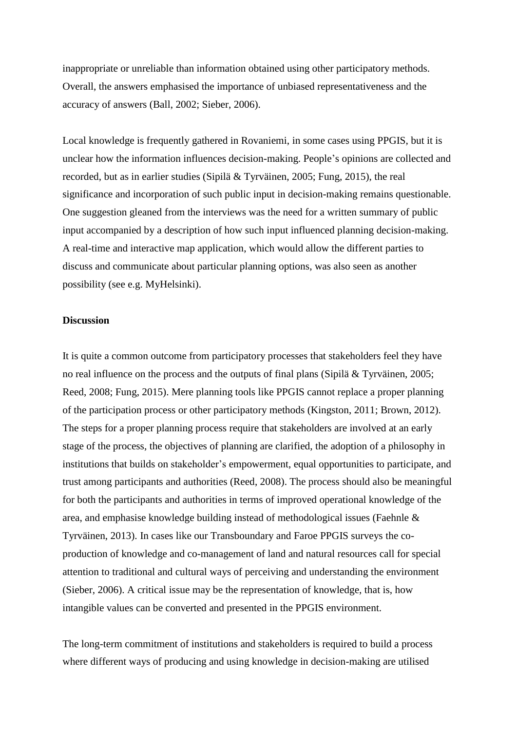inappropriate or unreliable than information obtained using other participatory methods. Overall, the answers emphasised the importance of unbiased representativeness and the accuracy of answers (Ball, 2002; Sieber, 2006).

Local knowledge is frequently gathered in Rovaniemi, in some cases using PPGIS, but it is unclear how the information influences decision-making. People's opinions are collected and recorded, but as in earlier studies (Sipilä & Tyrväinen, 2005; Fung, 2015), the real significance and incorporation of such public input in decision-making remains questionable. One suggestion gleaned from the interviews was the need for a written summary of public input accompanied by a description of how such input influenced planning decision-making. A real-time and interactive map application, which would allow the different parties to discuss and communicate about particular planning options, was also seen as another possibility (see e.g. MyHelsinki).

## **Discussion**

It is quite a common outcome from participatory processes that stakeholders feel they have no real influence on the process and the outputs of final plans (Sipilä & Tyrväinen, 2005; Reed, 2008; Fung, 2015). Mere planning tools like PPGIS cannot replace a proper planning of the participation process or other participatory methods (Kingston, 2011; Brown, 2012). The steps for a proper planning process require that stakeholders are involved at an early stage of the process, the objectives of planning are clarified, the adoption of a philosophy in institutions that builds on stakeholder's empowerment, equal opportunities to participate, and trust among participants and authorities (Reed, 2008). The process should also be meaningful for both the participants and authorities in terms of improved operational knowledge of the area, and emphasise knowledge building instead of methodological issues (Faehnle & Tyrväinen, 2013). In cases like our Transboundary and Faroe PPGIS surveys the coproduction of knowledge and co-management of land and natural resources call for special attention to traditional and cultural ways of perceiving and understanding the environment (Sieber, 2006). A critical issue may be the representation of knowledge, that is, how intangible values can be converted and presented in the PPGIS environment.

The long-term commitment of institutions and stakeholders is required to build a process where different ways of producing and using knowledge in decision-making are utilised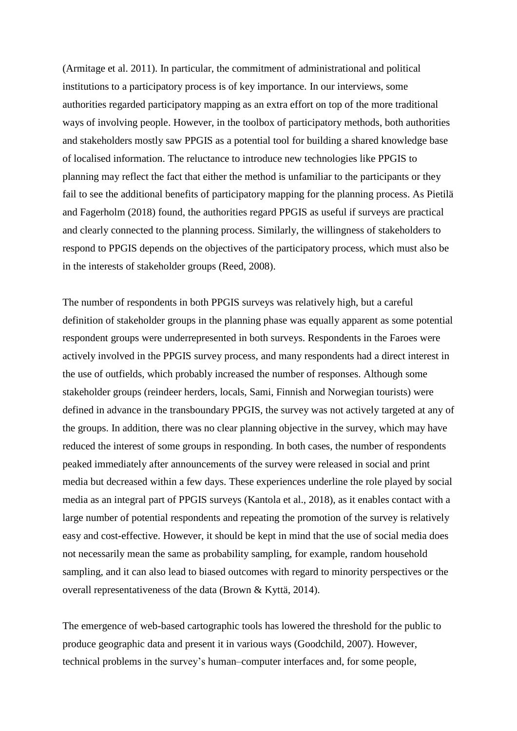(Armitage et al. 2011). In particular, the commitment of administrational and political institutions to a participatory process is of key importance. In our interviews, some authorities regarded participatory mapping as an extra effort on top of the more traditional ways of involving people. However, in the toolbox of participatory methods, both authorities and stakeholders mostly saw PPGIS as a potential tool for building a shared knowledge base of localised information. The reluctance to introduce new technologies like PPGIS to planning may reflect the fact that either the method is unfamiliar to the participants or they fail to see the additional benefits of participatory mapping for the planning process. As Pietilä and Fagerholm (2018) found, the authorities regard PPGIS as useful if surveys are practical and clearly connected to the planning process. Similarly, the willingness of stakeholders to respond to PPGIS depends on the objectives of the participatory process, which must also be in the interests of stakeholder groups (Reed, 2008).

The number of respondents in both PPGIS surveys was relatively high, but a careful definition of stakeholder groups in the planning phase was equally apparent as some potential respondent groups were underrepresented in both surveys. Respondents in the Faroes were actively involved in the PPGIS survey process, and many respondents had a direct interest in the use of outfields, which probably increased the number of responses. Although some stakeholder groups (reindeer herders, locals, Sami, Finnish and Norwegian tourists) were defined in advance in the transboundary PPGIS, the survey was not actively targeted at any of the groups. In addition, there was no clear planning objective in the survey, which may have reduced the interest of some groups in responding. In both cases, the number of respondents peaked immediately after announcements of the survey were released in social and print media but decreased within a few days. These experiences underline the role played by social media as an integral part of PPGIS surveys (Kantola et al., 2018), as it enables contact with a large number of potential respondents and repeating the promotion of the survey is relatively easy and cost-effective. However, it should be kept in mind that the use of social media does not necessarily mean the same as probability sampling, for example, random household sampling, and it can also lead to biased outcomes with regard to minority perspectives or the overall representativeness of the data (Brown & Kyttä, 2014).

The emergence of web-based cartographic tools has lowered the threshold for the public to produce geographic data and present it in various ways (Goodchild, 2007). However, technical problems in the survey's human–computer interfaces and, for some people,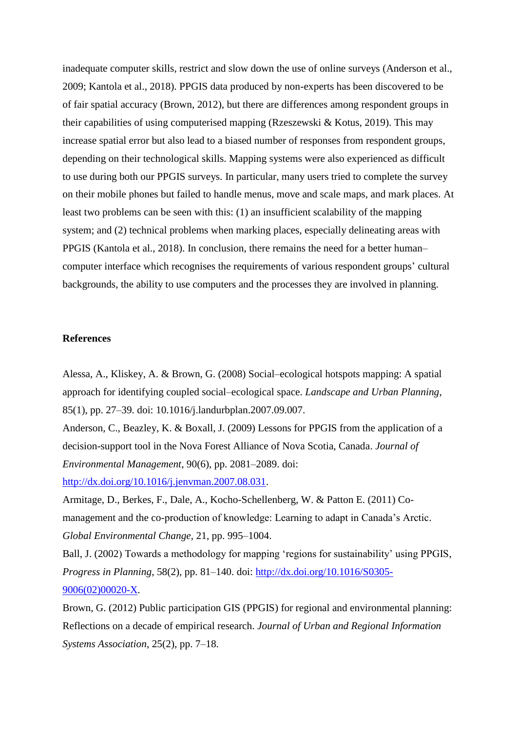inadequate computer skills, restrict and slow down the use of online surveys (Anderson et al., 2009; Kantola et al., 2018). PPGIS data produced by non-experts has been discovered to be of fair spatial accuracy (Brown, 2012), but there are differences among respondent groups in their capabilities of using computerised mapping (Rzeszewski & Kotus, 2019). This may increase spatial error but also lead to a biased number of responses from respondent groups, depending on their technological skills. Mapping systems were also experienced as difficult to use during both our PPGIS surveys. In particular, many users tried to complete the survey on their mobile phones but failed to handle menus, move and scale maps, and mark places. At least two problems can be seen with this: (1) an insufficient scalability of the mapping system; and (2) technical problems when marking places, especially delineating areas with PPGIS (Kantola et al., 2018). In conclusion, there remains the need for a better human– computer interface which recognises the requirements of various respondent groups' cultural backgrounds, the ability to use computers and the processes they are involved in planning.

### **References**

Alessa, A., Kliskey, A. & Brown, G. (2008) Social–ecological hotspots mapping: A spatial approach for identifying coupled social–ecological space. *Landscape and Urban Planning*, 85(1), pp. 27–39. doi: 10.1016/j.landurbplan.2007.09.007.

Anderson, C., Beazley, K. & Boxall, J. (2009) Lessons for PPGIS from the application of a decision-support tool in the Nova Forest Alliance of Nova Scotia, Canada. *Journal of Environmental Management*, 90(6), pp. 2081–2089. doi:

[http://dx.doi.org/10.1016/j.jenvman.2007.08.031.](http://dx.doi.org/10.1016/j.jenvman.2007.08.031)

Armitage, D., Berkes, F., Dale, A., Kocho-Schellenberg, W. & Patton E. (2011) Comanagement and the co-production of knowledge: Learning to adapt in Canada's Arctic. *Global Environmental Change*, 21, pp. 995-1004.

Ball, J. (2002) Towards a methodology for mapping 'regions for sustainability' using PPGIS, *Progress in Planning*, 58(2), pp. 81–140. doi: [http://dx.doi.org/10.1016/S0305-](http://dx.doi.org/10.1016/S0305-9006(02)00020-X) [9006\(02\)00020-X.](http://dx.doi.org/10.1016/S0305-9006(02)00020-X)

Brown, G. (2012) Public participation GIS (PPGIS) for regional and environmental planning: Reflections on a decade of empirical research. *Journal of Urban and Regional Information Systems Association*, 25(2), pp. 7–18.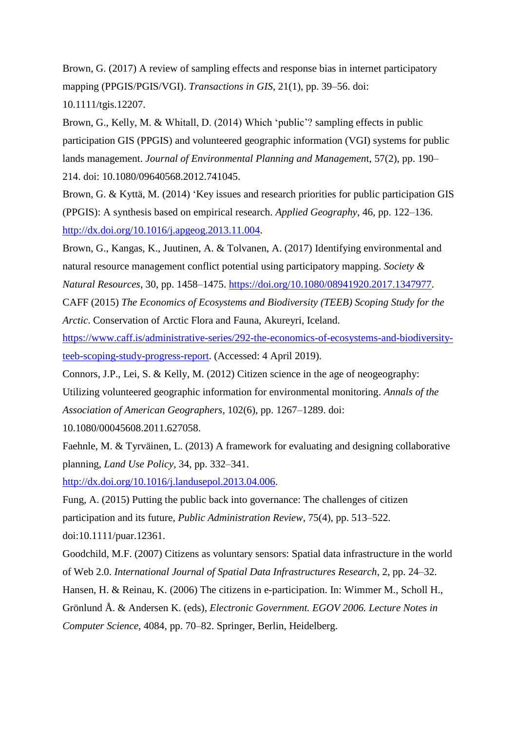Brown, G. (2017) A review of sampling effects and response bias in internet participatory mapping (PPGIS/PGIS/VGI). *Transactions in GIS*, 21(1), pp. 39–56. doi:

10.1111/tgis.12207.

Brown, G., Kelly, M. & Whitall, D. (2014) Which 'public'? sampling effects in public participation GIS (PPGIS) and volunteered geographic information (VGI) systems for public lands management. *Journal of Environmental Planning and Management*, 57(2), pp. 190– 214. doi: 10.1080/09640568.2012.741045.

Brown, G. & Kyttä, M. (2014) 'Key issues and research priorities for public participation GIS (PPGIS): A synthesis based on empirical research. *Applied Geography*, 46, pp. 122–136. [http://dx.doi.org/10.1016/j.apgeog.2013.11.004.](http://dx.doi.org/10.1016/j.apgeog.2013.11.004)

Brown, G., Kangas, K., Juutinen, A. & Tolvanen, A. (2017) Identifying environmental and natural resource management conflict potential using participatory mapping. *Society & Natural Resources*, 30, pp. 1458–1475. [https://doi.org/10.1080/08941920.2017.1347977.](https://doi.org/10.1080/08941920.2017.1347977)

CAFF (2015) *The Economics of Ecosystems and Biodiversity (TEEB) Scoping Study for the* 

*Arctic*. Conservation of Arctic Flora and Fauna, Akureyri, Iceland.

[https://www.caff.is/administrative-series/292-the-economics-of-ecosystems-and-biodiversity](https://www.caff.is/administrative-series/292-the-economics-of-ecosystems-and-biodiversity-teeb-scoping-study-progress-report)[teeb-scoping-study-progress-report.](https://www.caff.is/administrative-series/292-the-economics-of-ecosystems-and-biodiversity-teeb-scoping-study-progress-report) (Accessed: 4 April 2019).

Connors, J.P., Lei, S. & Kelly, M. (2012) Citizen science in the age of neogeography:

Utilizing volunteered geographic information for environmental monitoring. *Annals of the Association of American Geographers*, 102(6), pp. 1267–1289. doi:

10.1080/00045608.2011.627058.

Faehnle, M. & Tyrväinen, L. (2013) A framework for evaluating and designing collaborative planning, *Land Use Policy*, 34, pp. 332‒341.

[http://dx.doi.org/10.1016/j.landusepol.2013.04.006.](http://dx.doi.org/10.1016/j.landusepol.2013.04.006)

Fung, A. (2015) Putting the public back into governance: The challenges of citizen participation and its future, *Public Administration Review*, 75(4), pp. 513–522. doi:10.1111/puar.12361.

Goodchild, M.F. (2007) Citizens as voluntary sensors: Spatial data infrastructure in the world of Web 2.0. *International Journal of Spatial Data Infrastructures Research*, 2, pp. 24‒32.

Hansen, H. & Reinau, K. (2006) The citizens in e-participation. In: Wimmer M., Scholl H.,

Grönlund Å. & Andersen K. (eds), *Electronic Government. EGOV 2006. Lecture Notes in Computer Science*, 4084, pp. 70‒82. Springer, Berlin, Heidelberg.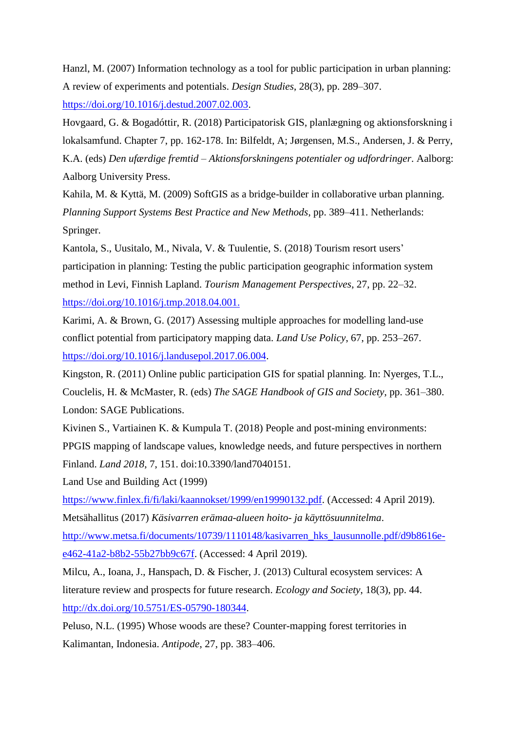Hanzl, M. (2007) Information technology as a tool for public participation in urban planning: A review of experiments and potentials. *Design Studies*, 28(3), pp. 289‒307.

[https://doi.org/10.1016/j.destud.2007.02.003.](https://doi.org/10.1016/j.destud.2007.02.003)

Hovgaard, G. & Bogadóttir, R. (2018) Participatorisk GIS, planlægning og aktionsforskning i lokalsamfund. Chapter 7, pp. 162-178. In: Bilfeldt, A; Jørgensen, M.S., Andersen, J. & Perry, K.A. (eds) *Den ufærdige fremtid – Aktionsforskningens potentialer og udfordringer*. Aalborg: Aalborg University Press.

Kahila, M. & Kyttä, M. (2009) SoftGIS as a bridge-builder in collaborative urban planning. *Planning Support Systems Best Practice and New Methods*, pp. 389‒411. Netherlands: Springer.

Kantola, S., Uusitalo, M., Nivala, V. & Tuulentie, S. (2018) Tourism resort users' participation in planning: Testing the public participation geographic information system method in Levi, Finnish Lapland. *Tourism Management Perspectives*, 27, pp. 22‒32. [https://doi.org/10.1016/j.tmp.2018.04.001.](https://doi.org/10.1016/j.tmp.2018.04.001)

Karimi, A. & Brown, G. (2017) Assessing multiple approaches for modelling land-use conflict potential from participatory mapping data. *Land Use Policy*, 67, pp. 253–267. [https://doi.org/10.1016/j.landusepol.2017.06.004.](https://doi.org/10.1016/j.landusepol.2017.06.004)

Kingston, R. (2011) Online public participation GIS for spatial planning. In: Nyerges, T.L., Couclelis, H. & McMaster, R. (eds) *The SAGE Handbook of GIS and Society*, pp. 361–380. London: SAGE Publications.

Kivinen S., Vartiainen K. & Kumpula T. (2018) People and post-mining environments: PPGIS mapping of landscape values, knowledge needs, and future perspectives in northern Finland. *Land 2018*, 7, 151. doi:10.3390/land7040151.

Land Use and Building Act (1999)

[https://www.finlex.fi/fi/laki/kaannokset/1999/en19990132.pdf.](https://www.finlex.fi/fi/laki/kaannokset/1999/en19990132.pdf) (Accessed: 4 April 2019).

Metsähallitus (2017) *Käsivarren erämaa-alueen hoito- ja käyttösuunnitelma*.

[http://www.metsa.fi/documents/10739/1110148/kasivarren\\_hks\\_lausunnolle.pdf/d9b8616e](http://www.metsa.fi/documents/10739/1110148/kasivarren_hks_lausunnolle.pdf/d9b8616e-e462-41a2-b8b2-55b27bb9c67f)[e462-41a2-b8b2-55b27bb9c67f.](http://www.metsa.fi/documents/10739/1110148/kasivarren_hks_lausunnolle.pdf/d9b8616e-e462-41a2-b8b2-55b27bb9c67f) (Accessed: 4 April 2019).

Milcu, A., Ioana, J., Hanspach, D. & Fischer, J. (2013) Cultural ecosystem services: A literature review and prospects for future research. *Ecology and Society*, 18(3), pp. 44. [http://dx.doi.org/10.5751/ES-05790-180344.](http://dx.doi.org/10.5751/ES-05790-180344)

Peluso, N.L. (1995) Whose woods are these? Counter-mapping forest territories in Kalimantan, Indonesia. *Antipode*, 27, pp. 383–406.